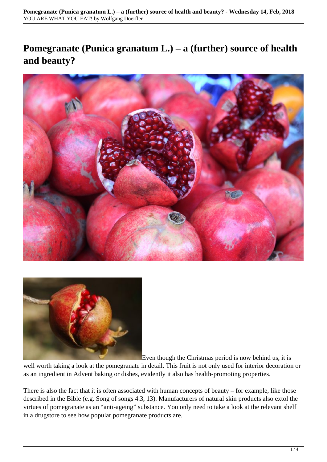# **Pomegranate (Punica granatum L.) – a (further) source of health and beauty?**





Even though the Christmas period is now behind us, it is

well worth taking a look at the pomegranate in detail. This fruit is not only used for interior decoration or as an ingredient in Advent baking or dishes, evidently it also has health-promoting properties.

There is also the fact that it is often associated with human concepts of beauty – for example, like those described in the Bible (e.g. Song of songs 4.3, 13). Manufacturers of natural skin products also extol the virtues of pomegranate as an "anti-ageing" substance. You only need to take a look at the relevant shelf in a drugstore to see how popular pomegranate products are.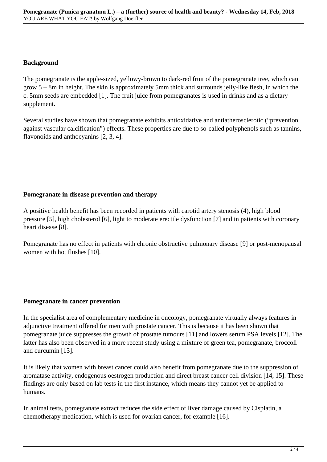#### **Background**

The pomegranate is the apple-sized, yellowy-brown to dark-red fruit of the pomegranate tree, which can grow 5 – 8m in height. The skin is approximately 5mm thick and surrounds jelly-like flesh, in which the c. 5mm seeds are embedded [1]. The fruit juice from pomegranates is used in drinks and as a dietary supplement.

Several studies have shown that pomegranate exhibits antioxidative and antiatherosclerotic ("prevention against vascular calcification") effects. These properties are due to so-called polyphenols such as tannins, flavonoids and anthocyanins [2, 3, 4].

## **Pomegranate in disease prevention and therapy**

A positive health benefit has been recorded in patients with carotid artery stenosis (4), high blood pressure [5], high cholesterol [6], light to moderate erectile dysfunction [7] and in patients with coronary heart disease [8].

Pomegranate has no effect in patients with chronic obstructive pulmonary disease [9] or post-menopausal women with hot flushes [10].

## **Pomegranate in cancer prevention**

In the specialist area of complementary medicine in oncology, pomegranate virtually always features in adjunctive treatment offered for men with prostate cancer. This is because it has been shown that pomegranate juice suppresses the growth of prostate tumours [11] and lowers serum PSA levels [12]. The latter has also been observed in a more recent study using a mixture of green tea, pomegranate, broccoli and curcumin [13].

It is likely that women with breast cancer could also benefit from pomegranate due to the suppression of aromatase activity, endogenous oestrogen production and direct breast cancer cell division [14, 15]. These findings are only based on lab tests in the first instance, which means they cannot yet be applied to humans.

In animal tests, pomegranate extract reduces the side effect of liver damage caused by Cisplatin, a chemotherapy medication, which is used for ovarian cancer, for example [16].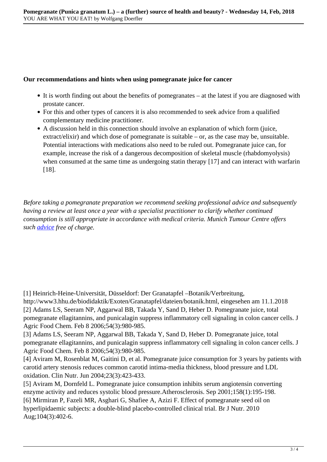#### **Our recommendations and hints when using pomegranate juice for cancer**

- It is worth finding out about the benefits of pomegranates at the latest if you are diagnosed with prostate cancer.
- For this and other types of cancers it is also recommended to seek advice from a qualified complementary medicine practitioner.
- A discussion held in this connection should involve an explanation of which form (juice, extract/elixir) and which dose of pomegranate is suitable – or, as the case may be, unsuitable. Potential interactions with medications also need to be ruled out. Pomegranate juice can, for example, increase the risk of a dangerous decomposition of skeletal muscle (rhabdomyolysis) when consumed at the same time as undergoing statin therapy [17] and can interact with warfarin [18].

*Before taking a pomegranate preparation we recommend seeking professional advice and subsequently having a review at least once a year with a specialist practitioner to clarify whether continued consumption is still appropriate in accordance with medical criteria. Munich Tumour Centre offers such [advice](http://www.tumorzentrum-muenchen.de/komplementaermedizin/persoenliche-beratung.html) free of charge.*

[1] Heinrich-Heine-Universität, Düsseldorf: Der Granatapfel –Botanik/Verbreitung,

http://www3.hhu.de/biodidaktik/Exoten/Granatapfel/dateien/botanik.html, eingesehen am 11.1.2018 [2] Adams LS, Seeram NP, Aggarwal BB, Takada Y, Sand D, Heber D. Pomegranate juice, total pomegranate ellagitannins, and punicalagin suppress inflammatory cell signaling in colon cancer cells. J Agric Food Chem. Feb 8 2006;54(3):980-985.

[3] Adams LS, Seeram NP, Aggarwal BB, Takada Y, Sand D, Heber D. Pomegranate juice, total pomegranate ellagitannins, and punicalagin suppress inflammatory cell signaling in colon cancer cells. J Agric Food Chem. Feb 8 2006;54(3):980-985.

[4] Aviram M, Rosenblat M, Gaitini D, et al. Pomegranate juice consumption for 3 years by patients with carotid artery stenosis reduces common carotid intima-media thickness, blood pressure and LDL oxidation. Clin Nutr. Jun 2004;23(3):423-433.

[5] Aviram M, Dornfeld L. Pomegranate juice consumption inhibits serum angiotensin converting enzyme activity and reduces systolic blood pressure.Atherosclerosis. Sep 2001;158(1):195-198. [6] Mirmiran P, Fazeli MR, Asghari G, Shafiee A, Azizi F. Effect of pomegranate seed oil on hyperlipidaemic subjects: a double-blind placebo-controlled clinical trial. Br J Nutr. 2010 Aug;104(3):402-6.